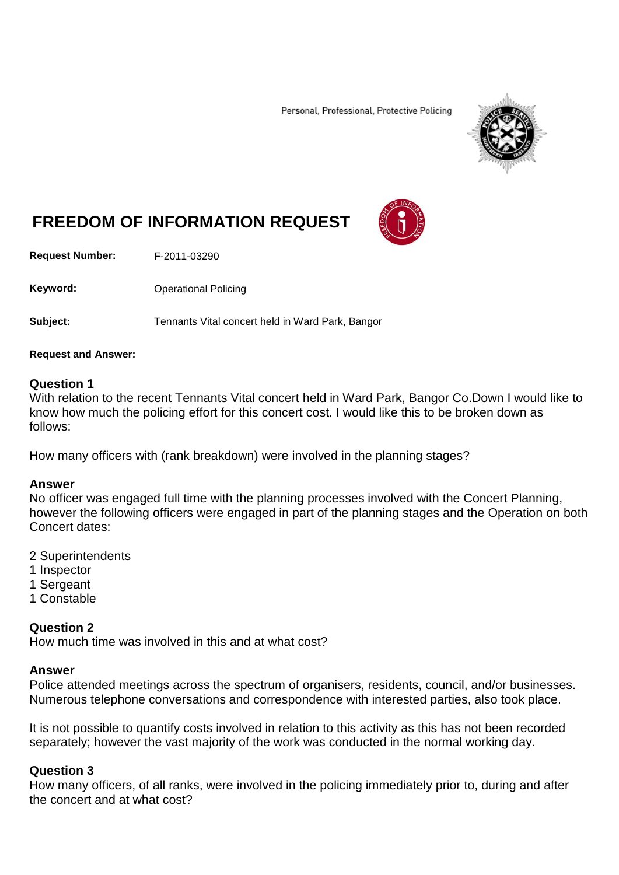Personal, Professional, Protective Policing



# **FREEDOM OF INFORMATION REQUEST**

**Request Number:** F-2011-03290

Keyword: **Channel Policing** Operational Policing

**Subject:** Tennants Vital concert held in Ward Park, Bangor

#### **Request and Answer:**

#### **Question 1**

With relation to the recent Tennants Vital concert held in Ward Park, Bangor Co.Down I would like to know how much the policing effort for this concert cost. I would like this to be broken down as follows:

How many officers with (rank breakdown) were involved in the planning stages?

#### **Answer**

No officer was engaged full time with the planning processes involved with the Concert Planning, however the following officers were engaged in part of the planning stages and the Operation on both Concert dates:

- 2 Superintendents
- 1 Inspector
- 1 Sergeant
- 1 Constable

#### **Question 2**

How much time was involved in this and at what cost?

#### **Answer**

Police attended meetings across the spectrum of organisers, residents, council, and/or businesses. Numerous telephone conversations and correspondence with interested parties, also took place.

It is not possible to quantify costs involved in relation to this activity as this has not been recorded separately; however the vast majority of the work was conducted in the normal working day.

#### **Question 3**

How many officers, of all ranks, were involved in the policing immediately prior to, during and after the concert and at what cost?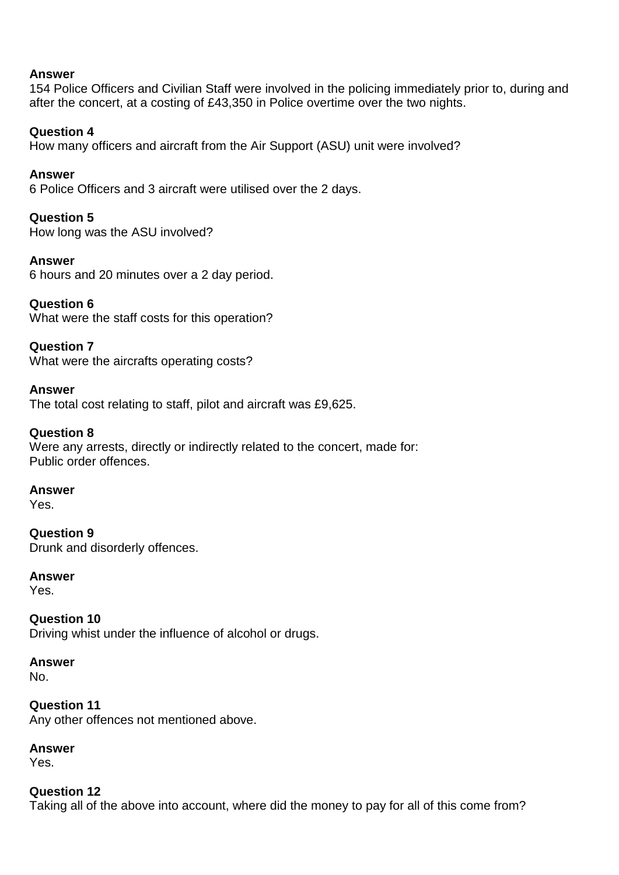#### **Answer**

154 Police Officers and Civilian Staff were involved in the policing immediately prior to, during and after the concert, at a costing of £43,350 in Police overtime over the two nights.

#### **Question 4**

How many officers and aircraft from the Air Support (ASU) unit were involved?

## **Answer**

6 Police Officers and 3 aircraft were utilised over the 2 days.

### **Question 5**

How long was the ASU involved?

### **Answer**

6 hours and 20 minutes over a 2 day period.

## **Question 6**

What were the staff costs for this operation?

## **Question 7**

What were the aircrafts operating costs?

### **Answer**

The total cost relating to staff, pilot and aircraft was £9,625.

### **Question 8**

Were any arrests, directly or indirectly related to the concert, made for: Public order offences.

#### **Answer**

Yes.

**Question 9** Drunk and disorderly offences.

#### **Answer**

Yes.

**Question 10** Driving whist under the influence of alcohol or drugs.

**Answer** No.

**Question 11** Any other offences not mentioned above.

## **Answer**

Yes.

## **Question 12**

Taking all of the above into account, where did the money to pay for all of this come from?